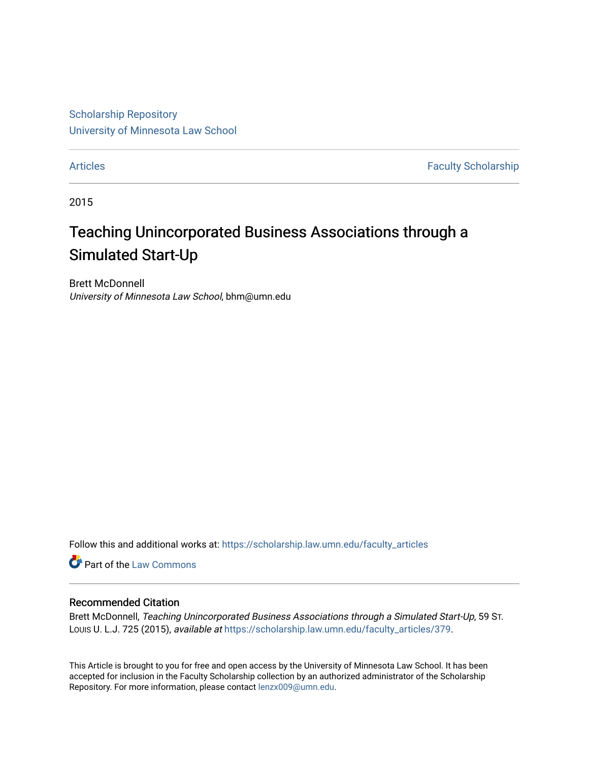[Scholarship Repository](https://scholarship.law.umn.edu/?utm_source=scholarship.law.umn.edu%2Ffaculty_articles%2F379&utm_medium=PDF&utm_campaign=PDFCoverPages) [University of Minnesota Law School](https://scholarship.law.umn.edu/?utm_source=scholarship.law.umn.edu%2Ffaculty_articles%2F379&utm_medium=PDF&utm_campaign=PDFCoverPages)

[Articles](https://scholarship.law.umn.edu/faculty_articles?utm_source=scholarship.law.umn.edu%2Ffaculty_articles%2F379&utm_medium=PDF&utm_campaign=PDFCoverPages) **Faculty Scholarship** 

2015

# Teaching Unincorporated Business Associations through a Simulated Start-Up

Brett McDonnell University of Minnesota Law School, bhm@umn.edu

Follow this and additional works at: [https://scholarship.law.umn.edu/faculty\\_articles](https://scholarship.law.umn.edu/faculty_articles?utm_source=scholarship.law.umn.edu%2Ffaculty_articles%2F379&utm_medium=PDF&utm_campaign=PDFCoverPages)

Part of the [Law Commons](https://network.bepress.com/hgg/discipline/578?utm_source=scholarship.law.umn.edu%2Ffaculty_articles%2F379&utm_medium=PDF&utm_campaign=PDFCoverPages)

## Recommended Citation

Brett McDonnell, Teaching Unincorporated Business Associations through a Simulated Start-Up, 59 ST. Louis U. L.J. 725 (2015), available at [https://scholarship.law.umn.edu/faculty\\_articles/379.](https://scholarship.law.umn.edu/faculty_articles/379?utm_source=scholarship.law.umn.edu%2Ffaculty_articles%2F379&utm_medium=PDF&utm_campaign=PDFCoverPages)

This Article is brought to you for free and open access by the University of Minnesota Law School. It has been accepted for inclusion in the Faculty Scholarship collection by an authorized administrator of the Scholarship Repository. For more information, please contact [lenzx009@umn.edu.](mailto:lenzx009@umn.edu)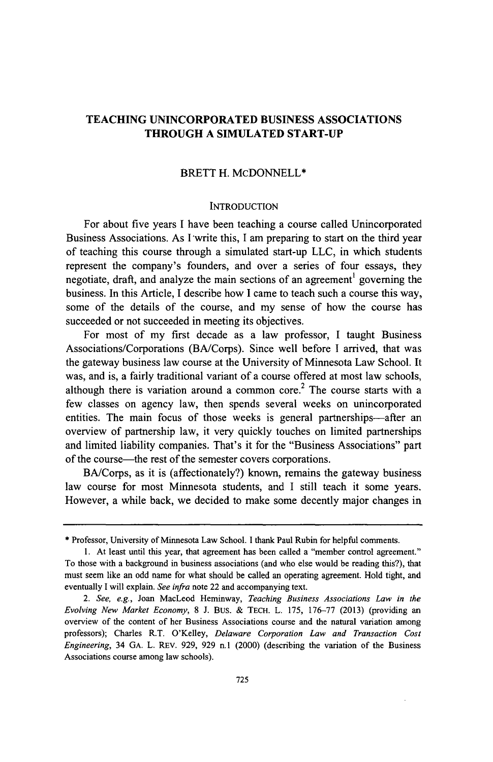## **TEACHING UNINCORPORATED BUSINESS ASSOCIATIONS THROUGH A SIMULATED START-UP**

### **BRETT H. McDONNELL\***

#### **INTRODUCTION**

For about five years **I** have been teaching a course called Unincorporated Business Associations. As **I** write this, I am preparing to start on the third year of teaching this course through a simulated start-up **LLC,** in which students represent the company's founders, and over a series of four essays, they negotiate, draft, and analyze the main sections of an agreement<sup>1</sup> governing the business. In this Article, **I** describe how **I** came to teach such a course this way, some of the details of the course, and my sense of how the course has succeeded or not succeeded in meeting its objectives.

For most of my first decade as a law professor, **I** taught Business Associations/Corporations (BA/Corps). Since well before **I** arrived, that was the gateway business law course at the University of Minnesota Law School. It was, and is, a fairly traditional variant of a course offered at most law schools, although there is variation around a common core.<sup>2</sup> The course starts with a few classes on agency law, then spends several weeks on unincorporated entities. The main focus of those weeks is general partnerships—after an overview of partnership law, it very quickly touches on limited partnerships and limited liability companies. That's it for the "Business Associations" part of the course-the rest of the semester covers corporations.

BA/Corps, as it is (affectionately?) known, remains the gateway business law course for most Minnesota students, and I still teach it some years. However, a while back, we decided to make some decently major changes in

**<sup>\*</sup>** Professor, University of Minnesota Law School. **I** thank Paul Rubin for helpful comments.

**<sup>1.</sup>** At least until this year, that agreement has been called a "member control agreement." To those with a background in business associations (and who else would be reading this?), that must seem like an odd name for what should be called an operating agreement. Hold tight, and eventually **I** will explain. *See infra* note 22 and accompanying text.

*<sup>2.</sup> See, e.g.,* Joan MacLeod Heminway, *Teaching Business Associations Law in the Evolving New Market Economy,* **8 J.** Bus. **& TECH.** L. **175, 176-77 (2013)** (providing an overview of the content of her Business Associations course and the natural variation among professors); Charles R.T. O'Kelley, *Delaware Corporation Law and Transaction Cost Engineering,* 34 **GA.** L. REv. **929, 929** n.1 (2000) (describing the variation of the Business Associations course among law schools).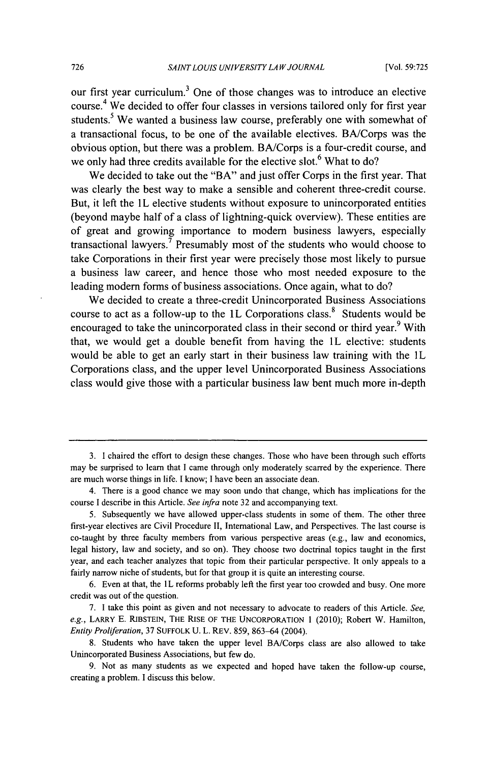our first year curriculum.<sup>3</sup> One of those changes was to introduce an elective course.<sup>4</sup> We decided to offer four classes in versions tailored only for first year students.<sup>5</sup> We wanted a business law course, preferably one with somewhat of a transactional focus, to be one of the available electives. BA/Corps was the obvious option, but there was a problem. BA/Corps is a four-credit course, and we only had three credits available for the elective slot.<sup>6</sup> What to do?

We decided to take out the "BA" and just offer Corps in the first year. That was clearly the best way to make a sensible and coherent three-credit course. But, it left the IL elective students without exposure to unincorporated entities (beyond maybe half of a class of lightning-quick overview). These entities are of great and growing importance to modem business lawyers, especially transactional lawyers.7 Presumably most of the students who would choose to take Corporations in their first year were precisely those most likely to pursue a business law career, and hence those who most needed exposure to the leading modem forms of business associations. Once again, what to do?

We decided to create a three-credit Unincorporated Business Associations course to act as a follow-up to the 1L Corporations class.<sup>8</sup> Students would be encouraged to take the unincorporated class in their second or third year.<sup>9</sup> With that, we would get a double benefit from having the 1L elective: students would be able to get an early start in their business law training with the IL Corporations class, and the upper level Unincorporated Business Associations class would give those with a particular business law bent much more in-depth

<sup>3.</sup> I chaired the effort to design these changes. Those who have been through such efforts may be surprised to learn that I came through only moderately scarred by the experience. There are much worse things in life. I know; I have been an associate dean.

<sup>4.</sup> There is a good chance we may soon undo that change, which has implications for the course I describe in this Article. *See* infra note 32 and accompanying text.

<sup>5.</sup> Subsequently we have allowed upper-class students in some of them. The other three first-year electives are Civil Procedure II, International Law, and Perspectives. The last course is co-taught by three faculty members from various perspective areas (e.g., law and economics, legal history, law and society, and so on). They choose two doctrinal topics taught in the first year, and each teacher analyzes that topic from their particular perspective. It only appeals to a fairly narrow niche of students, but for that group it is quite an interesting course.

<sup>6.</sup> Even at that, the 1L reforms probably left the first year too crowded and busy. One more credit was out of the question.

<sup>7.</sup> I take this point as given and not necessary to advocate to readers of this Article. *See, e.g.,* LARRY E. RIBSTEIN, THE **RISE** OF **THE UNCORPORATION** 1 (2010); Robert W. Hamilton, *Entity Proliferation,* 37 **SUFFOLK** U. L. REV. 859, 863-64 (2004).

<sup>8.</sup> Students who have taken the upper level BA/Corps class are also allowed to take Unincorporated Business Associations, but few do.

<sup>9.</sup> Not as many students as we expected and hoped have taken the follow-up course, creating a problem. I discuss this below.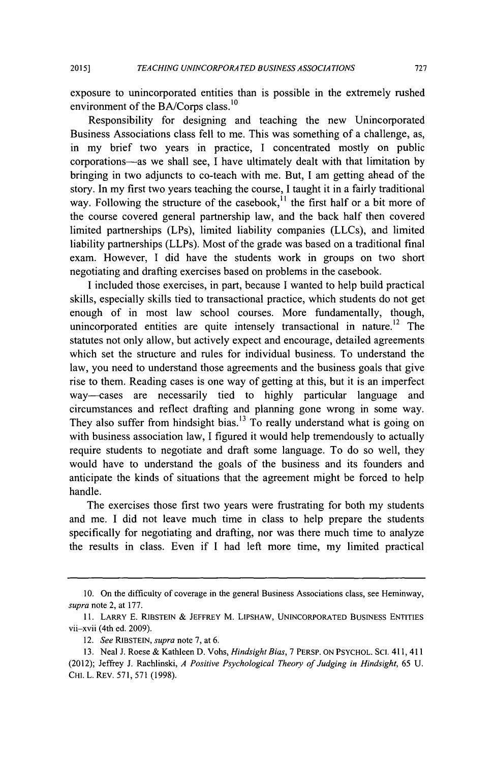**2015]**

exposure to unincorporated entities than is possible in the extremely rushed environment of the BA/Corps class.<sup>10</sup>

Responsibility for designing and teaching the new Unincorporated Business Associations class fell to me. This was something of a challenge, as, in my brief two years in practice, I concentrated mostly on public corporations-as we shall see, I have ultimately dealt with that limitation by bringing in two adjuncts to co-teach with me. But, **I** am getting ahead of the story. In my first two years teaching the course, I taught it in a fairly traditional way. Following the structure of the casebook,  $\frac{1}{1}$  the first half or a bit more of the course covered general partnership law, and the back half then covered limited partnerships (LPs), limited liability companies (LLCs), and limited liability partnerships (LLPs). Most of the grade was based on a traditional final exam. However, I did have the students work in groups on two short negotiating and drafting exercises based on problems in the casebook.

I included those exercises, in part, because I wanted to help build practical skills, especially skills tied to transactional practice, which students do not get enough of in most law school courses. More fundamentally, though, unincorporated entities are quite intensely transactional in nature.<sup>12</sup> The statutes not only allow, but actively expect and encourage, detailed agreements which set the structure and rules for individual business. To understand the law, you need to understand those agreements and the business goals that give rise to them. Reading cases is one way of getting at this, but it is an imperfect way-cases are necessarily tied to highly particular language and circumstances and reflect drafting and planning gone wrong in some way. They also suffer from hindsight bias.<sup>13</sup> To really understand what is going on with business association law, I figured it would help tremendously to actually require students to negotiate and draft some language. To do so well, they would have to understand the goals of the business and its founders and anticipate the kinds of situations that the agreement might be forced to help handle.

The exercises those first two years were frustrating for both my students and me. I did not leave much time in class to help prepare the students specifically for negotiating and drafting, nor was there much time to analyze the results in class. Even if I had left more time, my limited practical

<sup>10.</sup> On the difficulty of coverage in the general Business Associations class, see Heminway, supra note 2, at 177.

<sup>11.</sup> LARRY E. RIBSTEIN & JEFFREY M. LIPSHAW, **UNINCORPORATED** BUSINESS **ENTITIES** vii-xvii (4th ed. 2009).

<sup>12.</sup> *See* RIBSTEIN, *supra* note 7, at 6.

<sup>13.</sup> Neal J. Roese & Kathleen D. Vohs, *Hindsight Bias,* 7 PERSP. **ON** PSYCHOL. SCI. 411, 411 (2012); Jeffrey J. Rachlinski, *A Positive Psychological Theory of Judging in Hindsight,* 65 U. CHI. L. REv. 571, 571 (1998).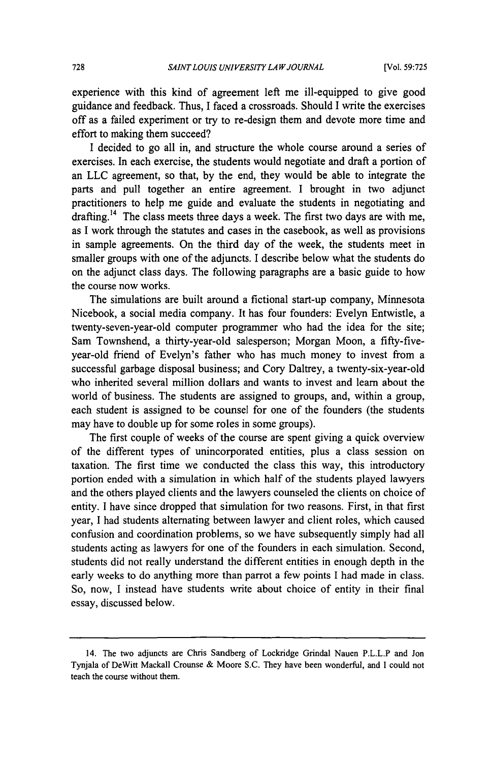experience with this kind of agreement left me ill-equipped to give good guidance and feedback. Thus, I faced a crossroads. Should I write the exercises off as a failed experiment or try to re-design them and devote more time and effort to making them succeed?

I decided to go all in, and structure the whole course around a series of exercises. In each exercise, the students would negotiate and draft a portion of an LLC agreement, so that, by the end, they would be able to integrate the parts and pull together an entire agreement. I brought in two adjunct practitioners to help me guide and evaluate the students in negotiating and drafting.<sup>14</sup> The class meets three days a week. The first two days are with me, as I work through the statutes and cases in the casebook, as well as provisions in sample agreements. On the third day of the week, the students meet in smaller groups with one of the adjuncts. I describe below what the students do on the adjunct class days. The following paragraphs are a basic guide to how the course now works.

The simulations are built around a fictional start-up company, Minnesota Nicebook, a social media company. It has four founders: Evelyn Entwistle, a twenty-seven-year-old computer programmer who had the idea for the site; Sam Townshend, a thirty-year-old salesperson; Morgan Moon, a fifty-fiveyear-old friend of Evelyn's father who has much money to invest from a successful garbage disposal business; and Cory Daltrey, a twenty-six-year-old who inherited several million dollars and wants to invest and learn about the world of business. The students are assigned to groups, and, within a group, each student is assigned to be counsel for one of the founders (the students may have to double up for some roles in some groups).

The first couple of weeks of the course are spent giving a quick overview of the different types of unincorporated entities, plus a class session on taxation. The first time we conducted the class this way, this introductory portion ended with a simulation in which half of the students played lawyers and the others played clients and the lawyers counseled the clients on choice of entity. I have since dropped that simulation for two reasons. First, in that first year, I had students alternating between lawyer and client roles, which caused confusion and coordination problems, so we have subsequently simply had all students acting as lawyers for one of the founders in each simulation. Second, students did not really understand the different entities in enough depth in the early weeks to do anything more than parrot a few points I had made in class. So, now, I instead have students write about choice of entity in their final essay, discussed below.

<sup>14.</sup> The two adjuncts are Chris Sandberg of Lockridge Grindal Nauen P.L.L.P and Jon Tynjala of DeWitt Mackall Crounse & Moore S.C. They have been wonderful, and I could not teach the course without them.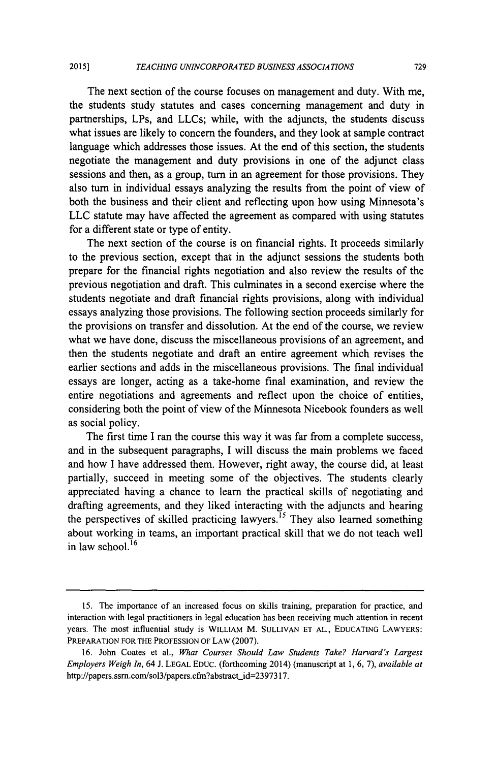The next section of the course focuses on management and duty. With me, the students study statutes and cases concerning management and duty in partnerships, LPs, and LLCs; while, with the adjuncts, the students discuss what issues are likely to concern the founders, and they look at sample contract language which addresses those issues. At the end of this section, the students negotiate the management and duty provisions in one of the adjunct class sessions and then, as a group, turn in an agreement for those provisions. They also turn in individual essays analyzing the results from the point of view of both the business and their client and reflecting upon how using Minnesota's LLC statute may have affected the agreement as compared with using statutes for a different state or type of entity.

The next section of the course is on financial rights. It proceeds similarly to the previous section, except that in the adjunct sessions the students both prepare for the financial rights negotiation and also review the results of the previous negotiation and draft. This culminates in a second exercise where the students negotiate and draft financial rights provisions, along with individual essays analyzing those provisions. The following section proceeds similarly for the provisions on transfer and dissolution. At the end of the course, we review what we have done, discuss the miscellaneous provisions of an agreement, and then the students negotiate and draft an entire agreement which revises the earlier sections and adds in the miscellaneous provisions. The final individual essays are longer, acting as a take-home final examination, and review the entire negotiations and agreements and reflect upon the choice of entities, considering both the point of view of the Minnesota Nicebook founders as well as social policy.

The first time I ran the course this way it was far from a complete success, and in the subsequent paragraphs, I will discuss the main problems we faced and how I have addressed them. However, right away, the course did, at least partially, succeed in meeting some of the objectives. The students clearly appreciated having a chance to learn the practical skills of negotiating and drafting agreements, and they liked interacting with the adjuncts and hearing the perspectives of skilled practicing lawyers.<sup>15</sup> They also learned something about working in teams, an important practical skill that we do not teach well in law school.<sup>16</sup>

<sup>15.</sup> The importance of an increased focus on skills training, preparation for practice, and interaction with legal practitioners in legal education has been receiving much attention in recent years. The most influential study is WILLIAM M. **SULLIVAN ET AL., EDUCATING** LAWYERS: PREPARATION FOR THE **PROFESSION** OF LAW (2007).

<sup>16.</sup> John Coates et al., *What Courses Should Law Students Take? Harvard's Largest Employers Weigh In,* 64 J. **LEGAL** EDUC. (forthcoming 2014) (manuscript at 1, 6, 7), *available at* http://papers.ssrn.com/sol3/papers.cfm?abstract\_id=2397317.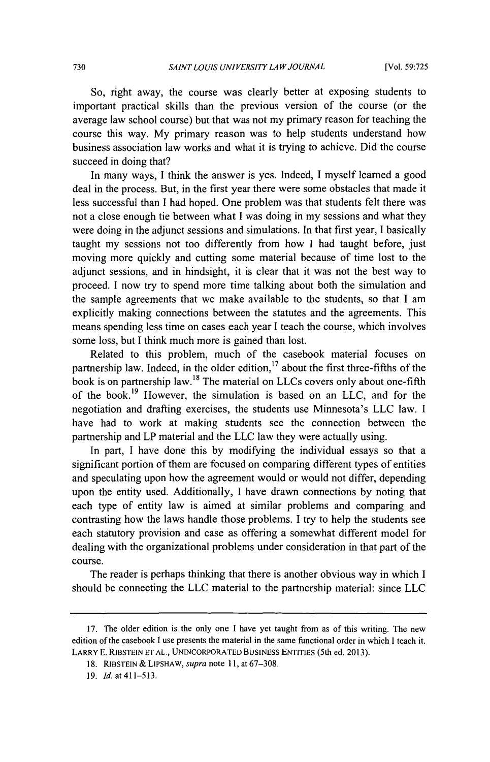So, right away, the course was clearly better at exposing students to important practical skills than the previous version of the course (or the average law school course) but that was not my primary reason for teaching the course this way. My primary reason was to help students understand how business association law works and what it is trying to achieve. Did the course succeed in doing that?

In many ways, I think the answer is yes. Indeed, I myself learned a good deal in the process. But, in the first year there were some obstacles that made it less successful than I had hoped. One problem was that students felt there was not a close enough tie between what I was doing in my sessions and what they were doing in the adjunct sessions and simulations. In that first year, I basically taught my sessions not too differently from how I had taught before, just moving more quickly and cutting some material because of time lost to the adjunct sessions, and in hindsight, it is clear that it was not the best way to proceed. I now try to spend more time talking about both the simulation and the sample agreements that we make available to the students, so that I am explicitly making connections between the statutes and the agreements. This means spending less time on cases each year I teach the course, which involves some loss, but I think much more is gained than lost.

Related to this problem, much of the casebook material focuses on partnership law. Indeed, in the older edition,<sup>17</sup> about the first three-fifths of the book is on partnership law.<sup>18</sup> The material on LLCs covers only about one-fifth of the book. 19 However, the simulation is based on an LLC, and for the negotiation and drafting exercises, the students use Minnesota's LLC law. I have had to work at making students see the connection between the partnership and LP material and the LLC law they were actually using.

In part, I have done this by modifying the individual essays so that a significant portion of them are focused on comparing different types of entities and speculating upon how the agreement would or would not differ, depending upon the entity used. Additionally, I have drawn connections by noting that each type of entity law is aimed at similar problems and comparing and contrasting how the laws handle those problems. I try to help the students see each statutory provision and case as offering a somewhat different model for dealing with the organizational problems under consideration in that part of the course.

The reader is perhaps thinking that there is another obvious way in which I should be connecting the LLC material to the partnership material: since LLC

<sup>17.</sup> The older edition is the only one I have yet taught from as of this writing. The new edition of the casebook I use presents the material in the same functional order in which I teach it. LARRY **E.** RIBSTEIN **ET AL., UNINCORPORATED** BuSiNESS **ENTITIES** (5th ed. 2013).

**<sup>18.</sup>** RIBSTEIN & LIPSHAW, *supra* note **11,** at 67-308.

**<sup>19.</sup>** *Id.* at 411-513.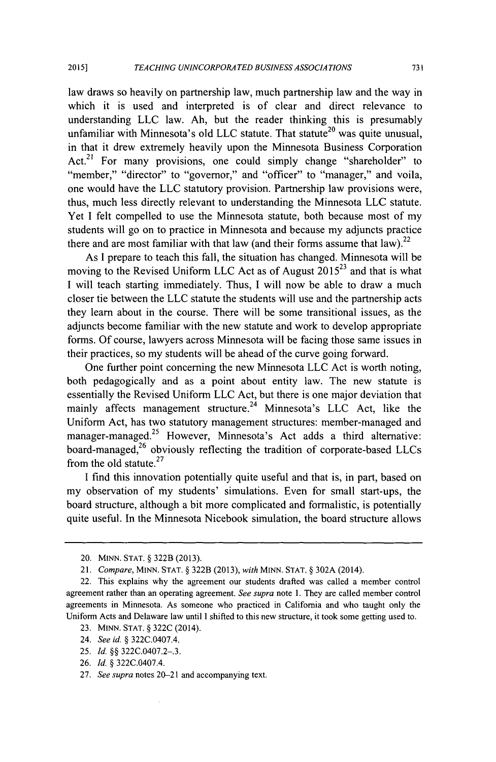law draws so heavily on partnership law, much partnership law and the way in which it is used and interpreted is of clear and direct relevance to understanding LLC law. Ah, but the reader thinking this is presumably unfamiliar with Minnesota's old LLC statute. That statute<sup>20</sup> was quite unusual, in that it drew extremely heavily upon the Minnesota Business Corporation Act.<sup>21</sup> For many provisions, one could simply change "shareholder" to "member," "director" to "governor," and "officer" to "manager," and voila, one would have the LLC statutory provision. Partnership law provisions were, thus, much less directly relevant to understanding the Minnesota LLC statute. Yet I felt compelled to use the Minnesota statute, both because most of my students will go on to practice in Minnesota and because my adjuncts practice there and are most familiar with that law (and their forms assume that law).<sup>22</sup>

As I prepare to teach this fall, the situation has changed. Minnesota will be moving to the Revised Uniform LLC Act as of August 2015<sup>23</sup> and that is what I will teach starting immediately. Thus, I will now be able to draw a much closer tie between the LLC statute the students will use and the partnership acts they learn about in the course. There will be some transitional issues, as the adjuncts become familiar with the new statute and work to develop appropriate forms. Of course, lawyers across Minnesota will be facing those same issues in their practices, so my students will be ahead of the curve going forward.

One further point concerning the new Minnesota LLC Act is worth noting, both pedagogically and as a point about entity law. The new statute is essentially the Revised Uniform LLC Act, but there is one major deviation that mainly affects management structure.<sup>24</sup> Minnesota's LLC Act, like the Uniform Act, has two statutory management structures: member-managed and manager-managed.<sup>25</sup> However, Minnesota's Act adds a third alternative: board-managed,<sup>26</sup> obviously reflecting the tradition of corporate-based LLCs from the old statute.<sup>27</sup>

I find this innovation potentially quite useful and that is, in part, based on my observation of my students' simulations. Even for small start-ups, the board structure, although a bit more complicated and formalistic, is potentially quite useful. In the Minnesota Nicebook simulation, the board structure allows

<sup>20.</sup> **MINN. STAT.** § 322B (2013).

<sup>21.</sup> *Compare,* **MINN. STAT.** § 322B (2013), *with* **MINN. STAT.** § 302A (2014).

<sup>22.</sup> This explains why the agreement our students drafted was called a member control agreement rather than an operating agreement. *See supra* note 1. They are called member control agreements in Minnesota. As someone who practiced in California and who taught only the Uniform Acts and Delaware law until I shifted to this new structure, it took some getting used to.

<sup>23.</sup> MINN. **STAT.** § 322C (2014).

<sup>24.</sup> *See id.* § 322C.0407.4.

<sup>25.</sup> *Id.* §§ 322C.0407.2-.3.

<sup>26.</sup> *Id.* § 322C.0407.4.

<sup>27.</sup> *See supra* notes 20-21 and accompanying text.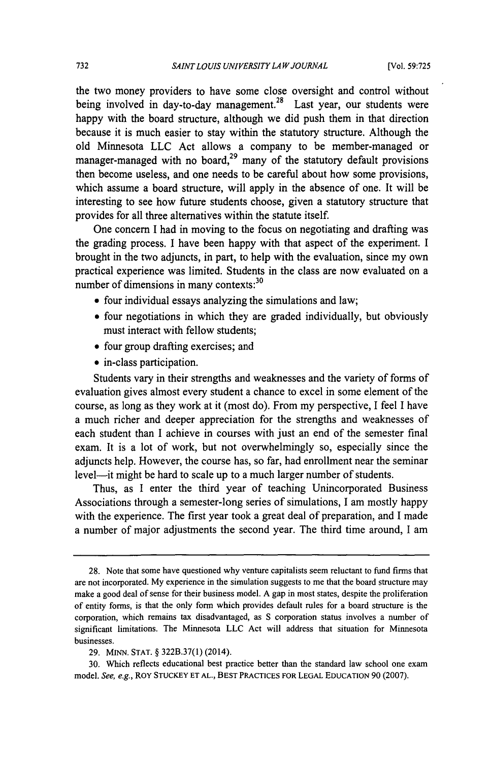the two money providers to have some close oversight and control without being involved in day-to-day management.<sup>28</sup> Last year, our students were happy with the board structure, although we did push them in that direction because it is much easier to stay within the statutory structure. Although the old Minnesota LLC Act allows a company to be member-managed or manager-managed with no board, $^{29}$  many of the statutory default provisions then become useless, and one needs to be careful about how some provisions, which assume a board structure, will apply in the absence of one. It will be interesting to see how future students choose, given a statutory structure that provides for all three alternatives within the statute itself.

One concern I had in moving to the focus on negotiating and drafting was the grading process. I have been happy with that aspect of the experiment. I brought in the two adjuncts, in part, to help with the evaluation, since my own practical experience was limited. Students in the class are now evaluated on a number of dimensions in many contexts:<sup>30</sup>

- **"** four individual essays analyzing the simulations and law;
- **"** four negotiations in which they are graded individually, but obviously must interact with fellow students;
- four group drafting exercises; and
- **"** in-class participation.

Students vary in their strengths and weaknesses and the variety of forms of evaluation gives almost every student a chance to excel in some element of the course, as long as they work at it (most do). From my perspective, I feel I have a much richer and deeper appreciation for the strengths and weaknesses of each student than I achieve in courses with just an end of the semester final exam. It is a lot of work, but not overwhelmingly so, especially since the adjuncts help. However, the course has, so far, had enrollment near the seminar level—it might be hard to scale up to a much larger number of students.

Thus, as **I** enter the third year of teaching Unincorporated Business Associations through a semester-long series of simulations, I am mostly happy with the experience. The first year took a great deal of preparation, and I made a number of major adjustments the second year. The third time around, I am

<sup>28.</sup> Note that some have questioned why venture capitalists seem reluctant to fund firms that are not incorporated. My experience in the simulation suggests to me that the board structure may make a good deal of sense for their business model. A gap in most states, despite the proliferation of entity forms, is that the only form which provides default rules for a board structure is the corporation, which remains tax disadvantaged, as S corporation status involves a number of significant limitations. The Minnesota LLC Act will address that situation for Minnesota businesses.

<sup>29.</sup> **MINN.** STAT. § 322B.37(1) (2014).

<sup>30.</sup> Which reflects educational best practice better than the standard law school one exam model. *See, e.g.,* ROY **STUCKEY ET AL., BEST** PRACTICES FOR **LEGAL EDUCATION** 90 (2007).